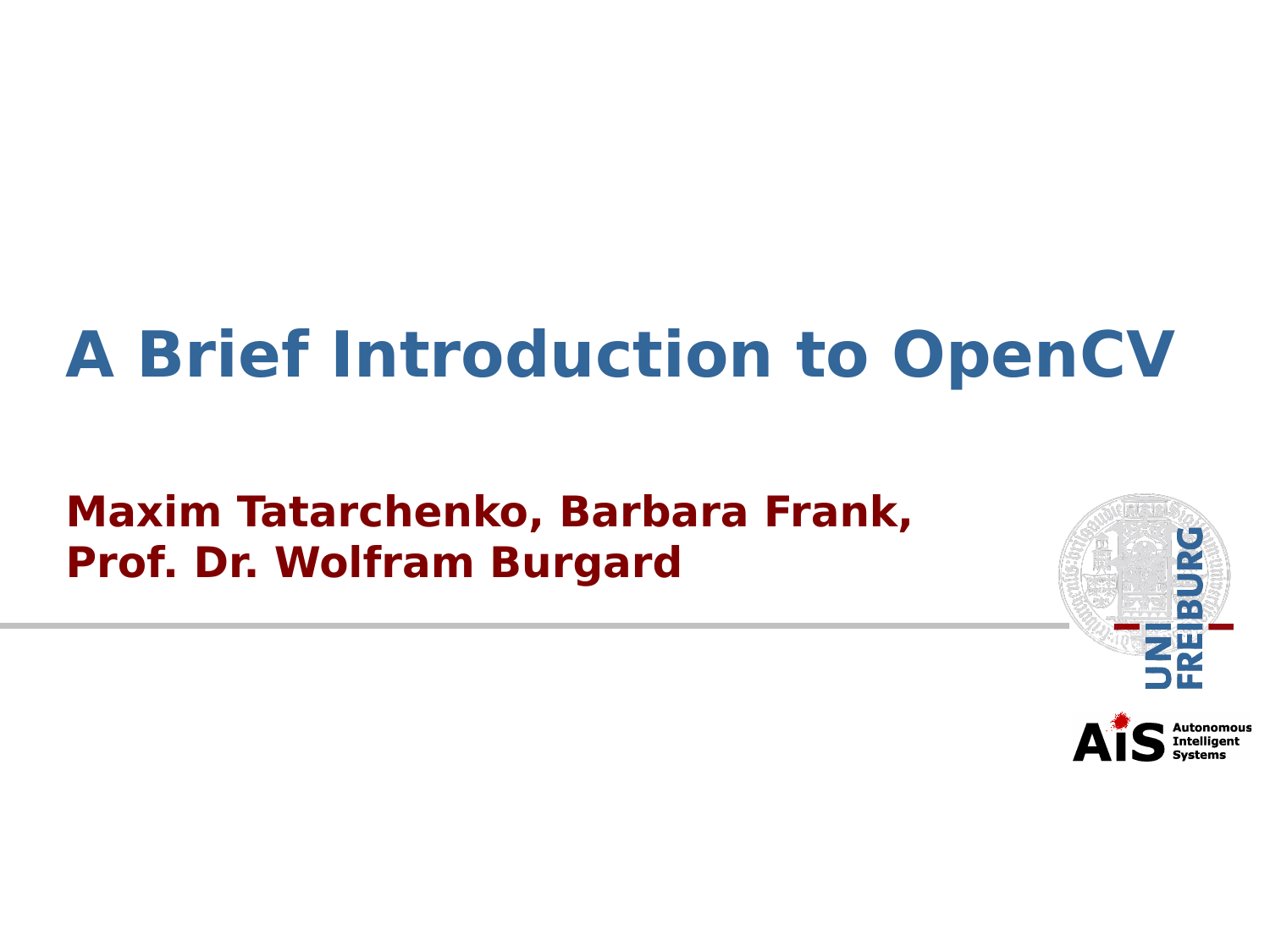## **A Brief Introduction to OpenCV**

#### **Maxim Tatarchenko, Barbara Frank, Prof. Dr. Wolfram Burgard**

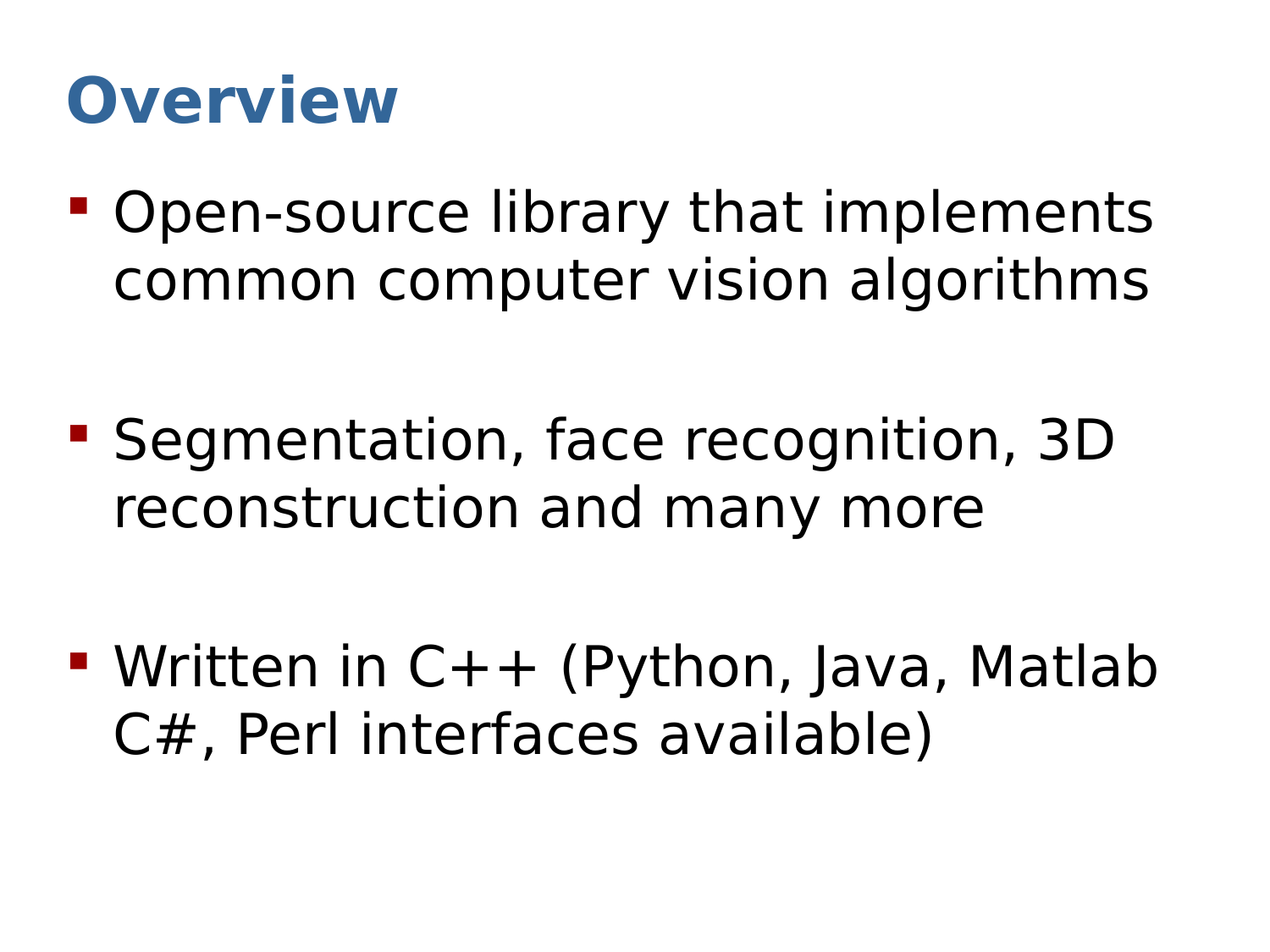### **Overview**

- **Open-source library that implements** common computer vision algorithms
- Segmentation, face recognition, 3D reconstruction and many more

 Written in C++ (Python, Java, Matlab C#, Perl interfaces available)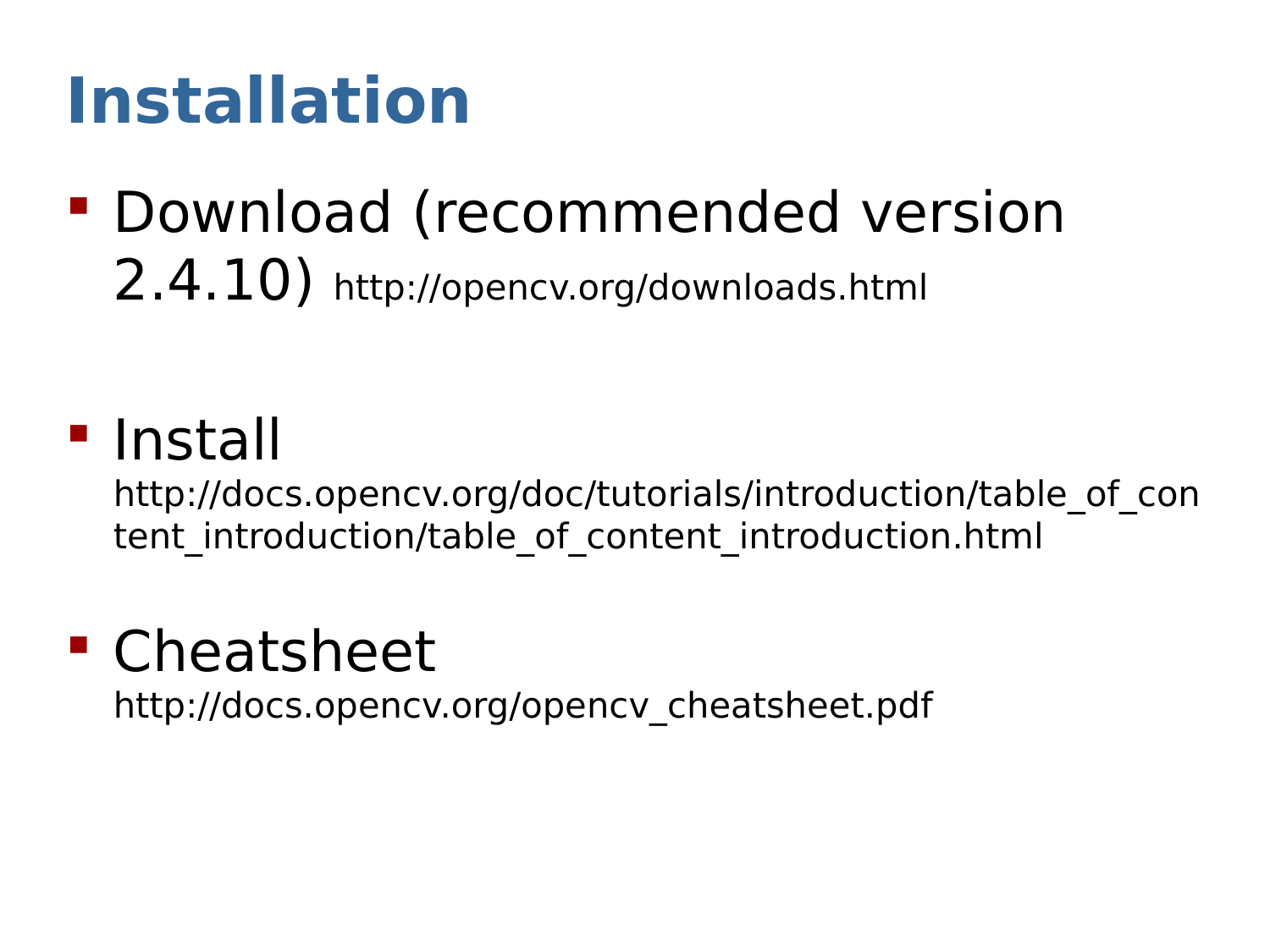# **Installation**

 Download (recommended version 2.4.10) <http://opencv.org/downloads.html>

#### **I**nstall

http://docs.opencv.org/doc/tutorials/introduction/table of con tent introduction/table of content introduction.html

#### Cheatsheet

[http://docs.opencv.org/opencv\\_cheatsheet.pdf](http://docs.opencv.org/opencv_cheatsheet.pdf)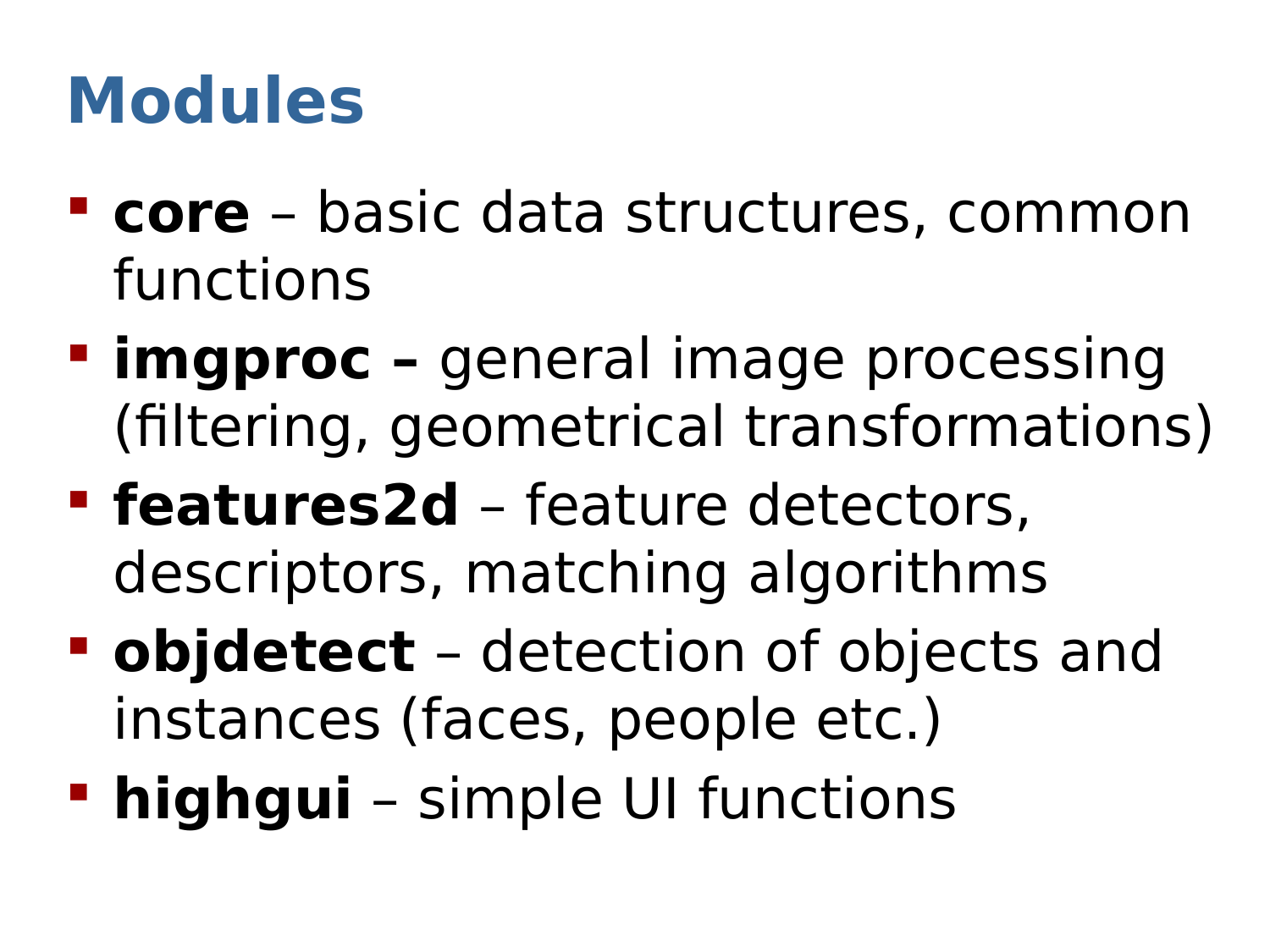# **Modules**

- **core** basic data structures, common functions
- **Fimgproc** general image processing (filtering, geometrical transformations)
- **features2d** feature detectors, descriptors, matching algorithms
- **objdetect** detection of objects and instances (faces, people etc.)
- **highgui** simple UI functions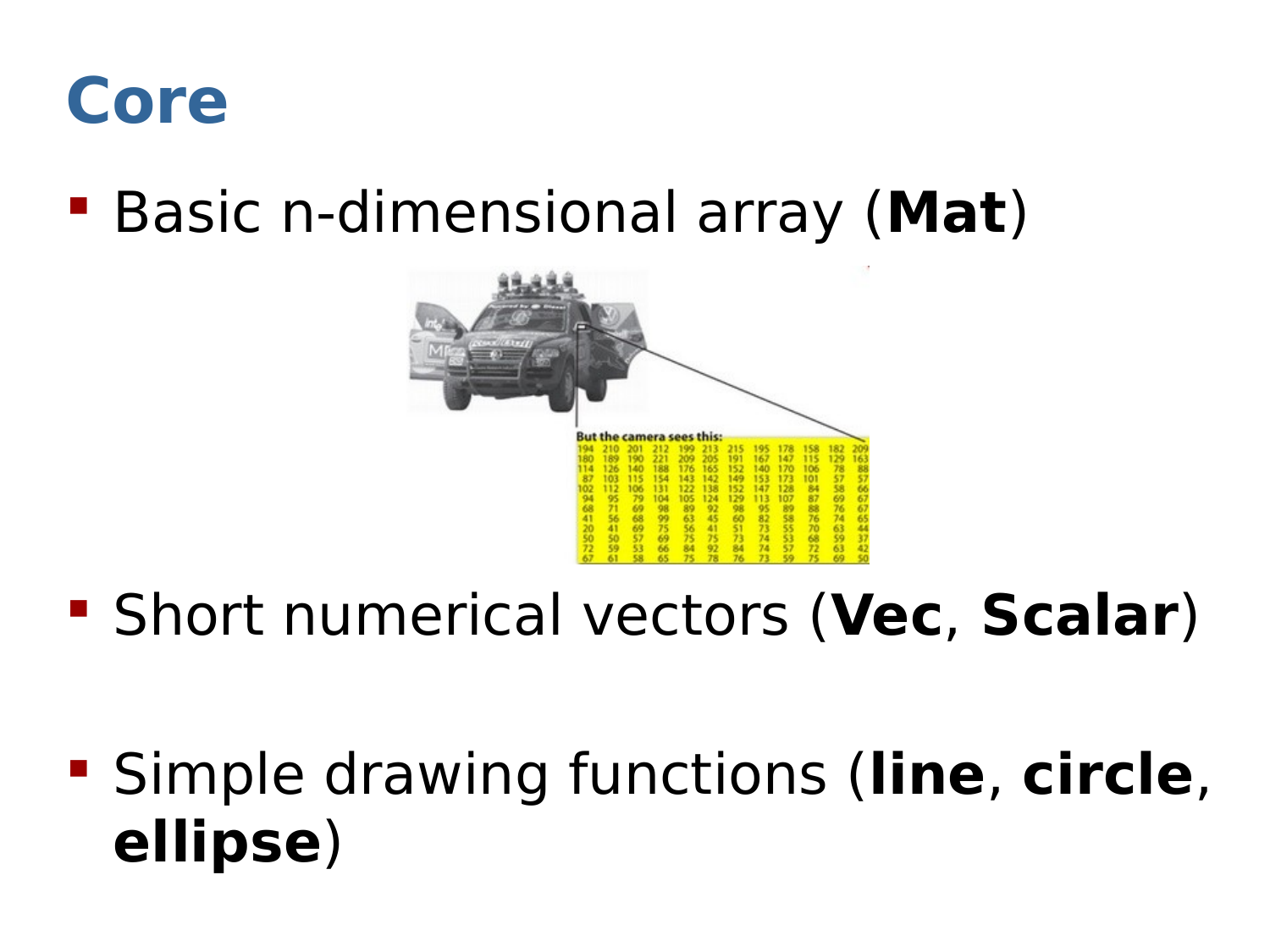

Basic n-dimensional array (**Mat**)



- Short numerical vectors (**Vec**, **Scalar**)
- Simple drawing functions (**line**, **circle**, **ellipse**)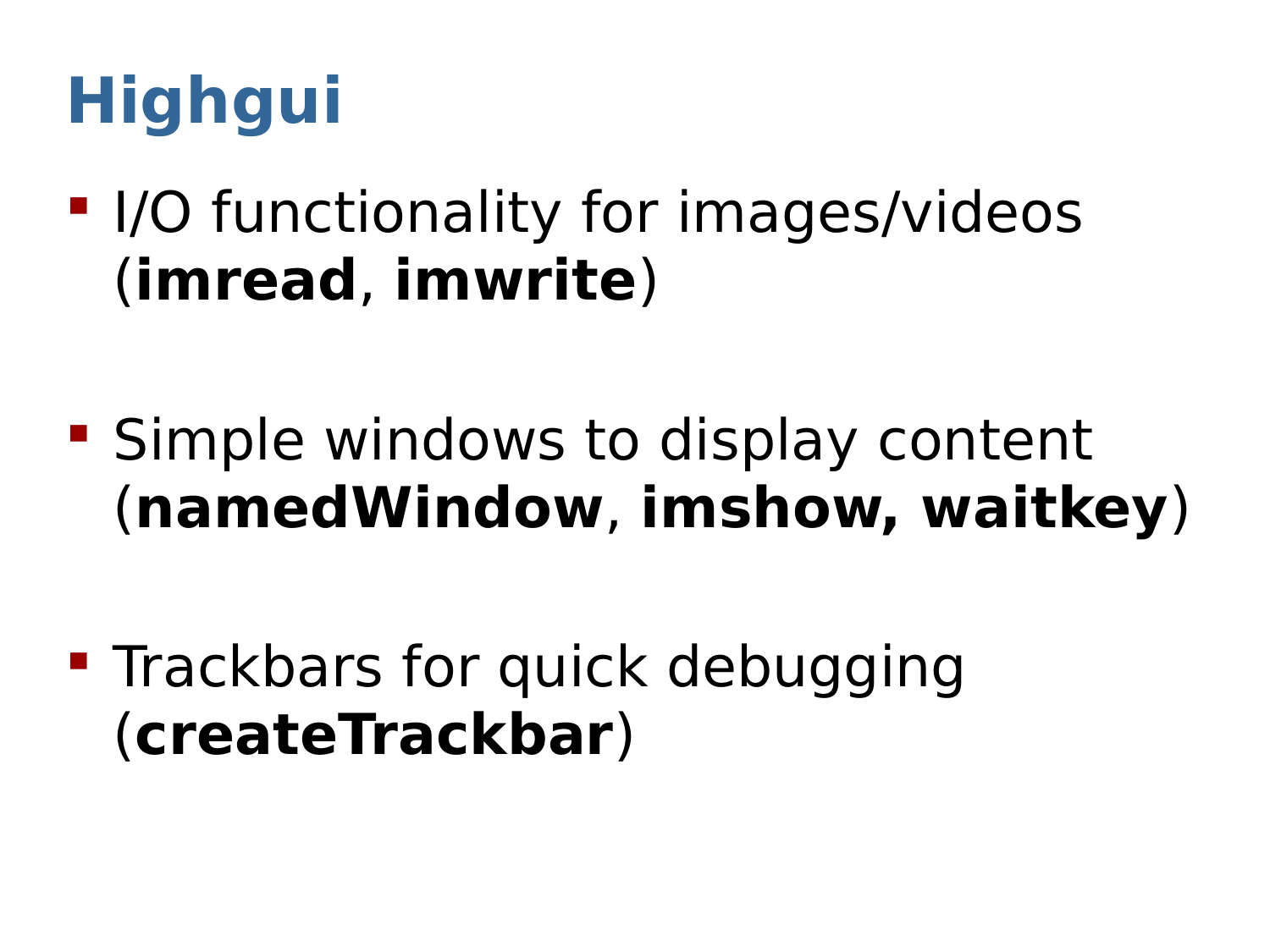# **Highgui**

- **I/O functionality for images/videos** (**imread**, **imwrite**)
- **Simple windows to display content** (**namedWindow**, **imshow, waitkey**)
- **Trackbars for quick debugging** (**createTrackbar**)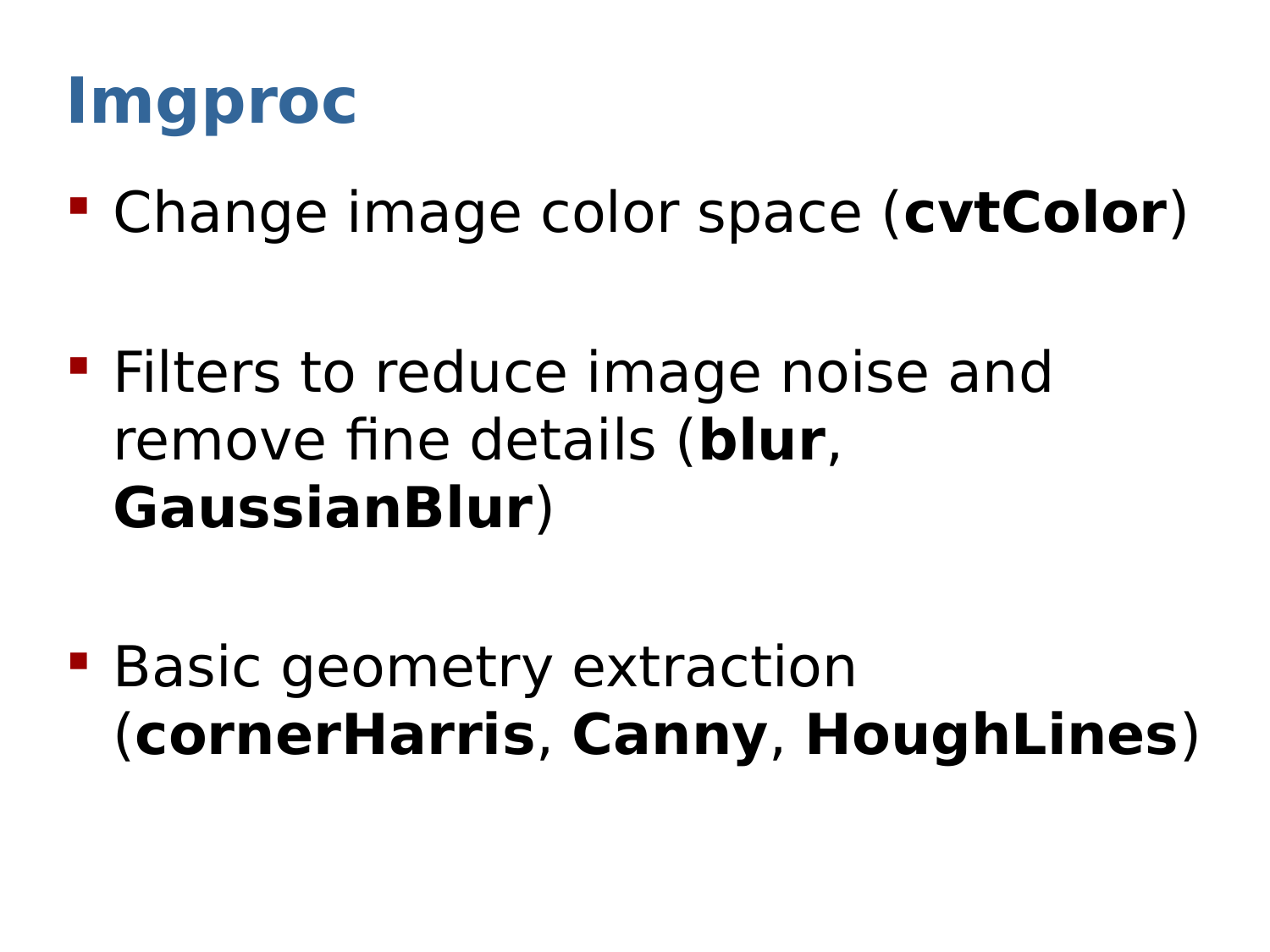#### **Imgproc**

- Change image color space (**cvtColor**)
- **Filters to reduce image noise and** remove fine details (**blur**, **GaussianBlur**)
- **Basic geometry extraction** (**cornerHarris**, **Canny**, **HoughLines**)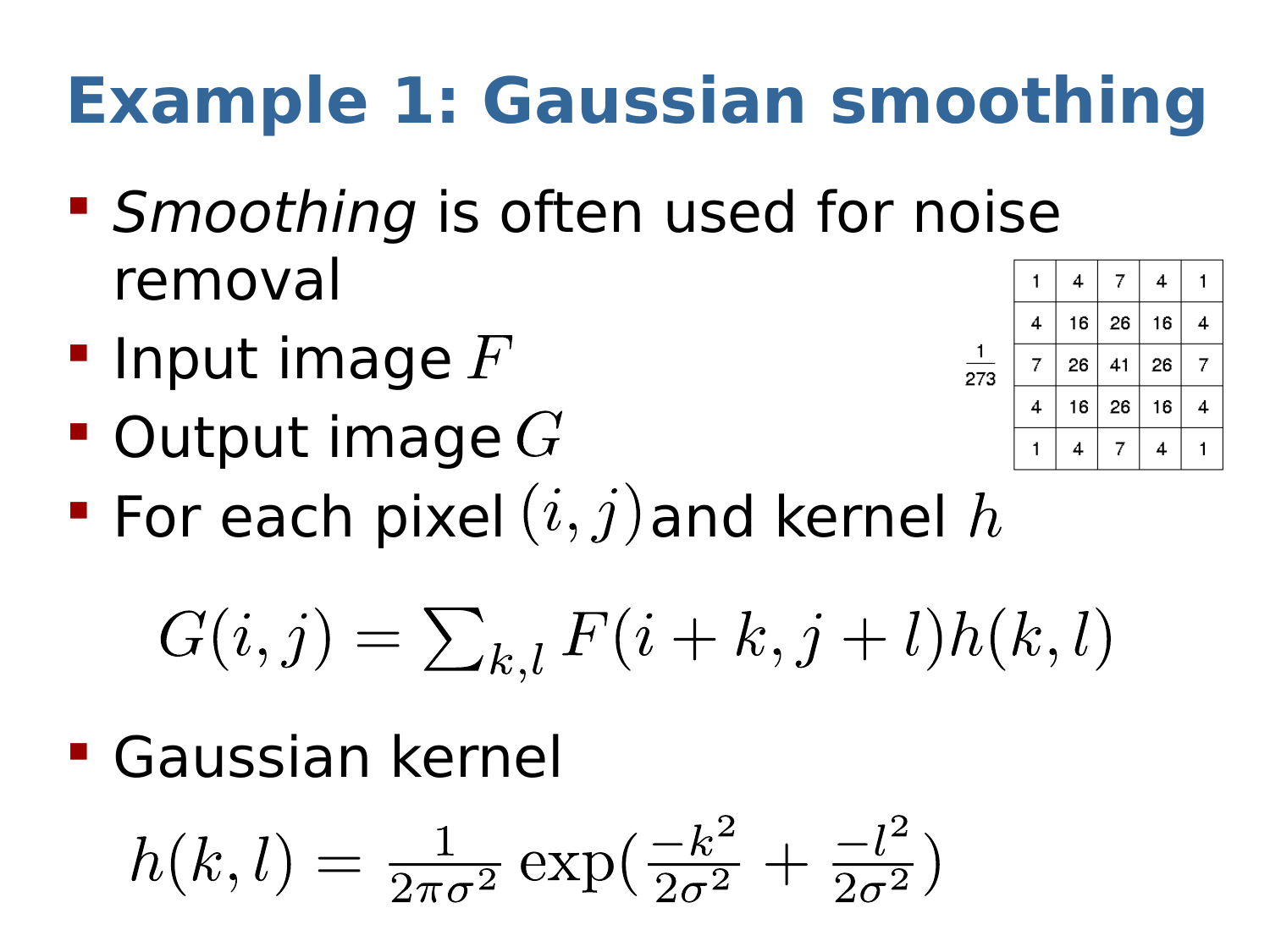# **Example 1: Gaussian smoothing**

- **Smoothing is often used for noise** removal
- **Input image**  $F$
- $\blacksquare$  Output image  $G$

| 273 |   | 4  | 7  | 4  |   |
|-----|---|----|----|----|---|
|     | 4 | 16 | 26 | 16 | 4 |
|     | 7 | 26 | 41 | 26 | 7 |
|     | 4 | 16 | 26 | 16 | 4 |
|     |   | 4  | 7  | 4  |   |

For each pixel  $(i, j)$  and kernel  $h$ 

 $G(i, j) = \sum_{k,l} F(i + k, j + l)h(k, l)$ 

Gaussian kernel

$$
h(k,l) = \frac{1}{2\pi\sigma^2} \exp(\frac{-k^2}{2\sigma^2} + \frac{-l^2}{2\sigma^2})
$$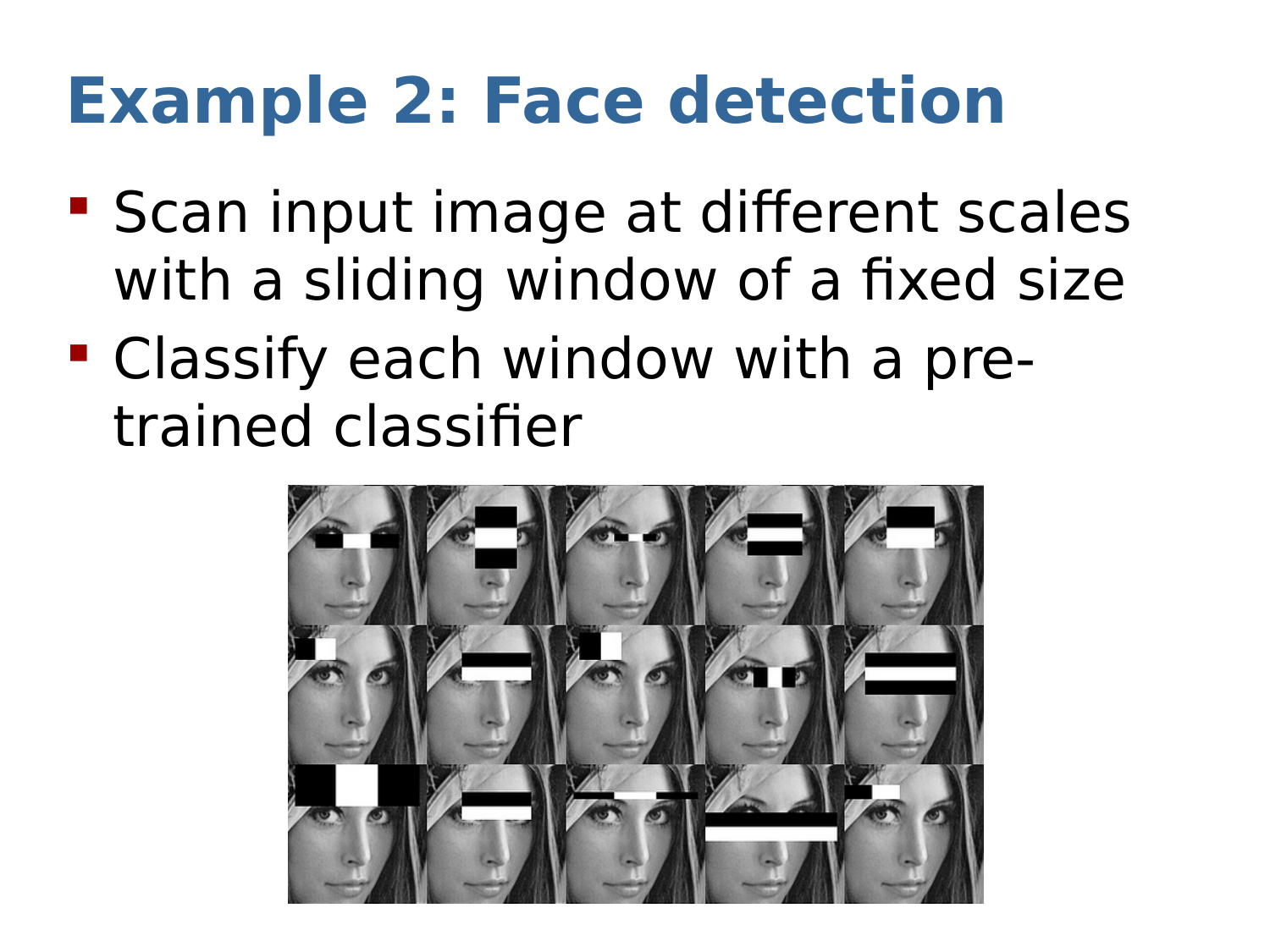# **Example 2: Face detection**

- **Scan input image at different scales** with a sliding window of a fixed size
- Classify each window with a pretrained classifier